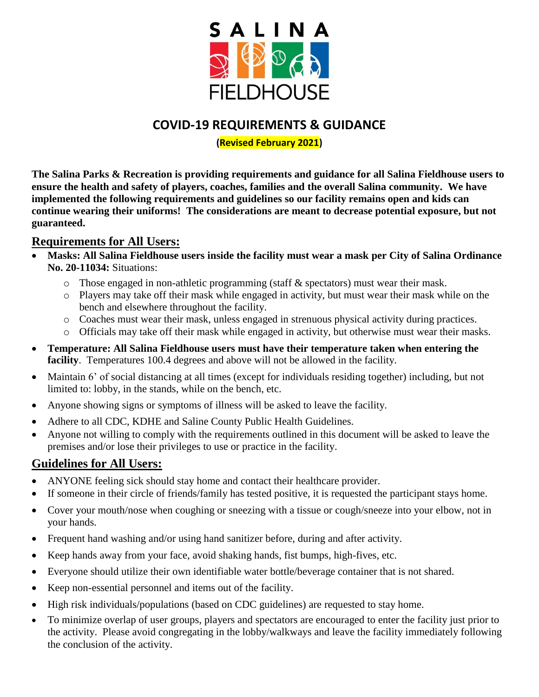

## **COVID-19 REQUIREMENTS & GUIDANCE**

#### **(Revised February 2021)**

**The Salina Parks & Recreation is providing requirements and guidance for all Salina Fieldhouse users to ensure the health and safety of players, coaches, families and the overall Salina community. We have implemented the following requirements and guidelines so our facility remains open and kids can continue wearing their uniforms! The considerations are meant to decrease potential exposure, but not guaranteed.**

### **Requirements for All Users:**

- **Masks: All Salina Fieldhouse users inside the facility must wear a mask per City of Salina Ordinance No. 20-11034:** Situations:
	- $\circ$  Those engaged in non-athletic programming (staff & spectators) must wear their mask.
	- o Players may take off their mask while engaged in activity, but must wear their mask while on the bench and elsewhere throughout the facility.
	- o Coaches must wear their mask, unless engaged in strenuous physical activity during practices.
	- o Officials may take off their mask while engaged in activity, but otherwise must wear their masks.
- **Temperature: All Salina Fieldhouse users must have their temperature taken when entering the facility**. Temperatures 100.4 degrees and above will not be allowed in the facility.
- Maintain 6' of social distancing at all times (except for individuals residing together) including, but not limited to: lobby, in the stands, while on the bench, etc.
- Anyone showing signs or symptoms of illness will be asked to leave the facility.
- Adhere to all CDC, KDHE and Saline County Public Health Guidelines.
- Anyone not willing to comply with the requirements outlined in this document will be asked to leave the premises and/or lose their privileges to use or practice in the facility.

### **Guidelines for All Users:**

- ANYONE feeling sick should stay home and contact their healthcare provider.
- If someone in their circle of friends/family has tested positive, it is requested the participant stays home.
- Cover your mouth/nose when coughing or sneezing with a tissue or cough/sneeze into your elbow, not in your hands.
- Frequent hand washing and/or using hand sanitizer before, during and after activity.
- Keep hands away from your face, avoid shaking hands, fist bumps, high-fives, etc.
- Everyone should utilize their own identifiable water bottle/beverage container that is not shared.
- Keep non-essential personnel and items out of the facility.
- High risk individuals/populations (based on CDC guidelines) are requested to stay home.
- To minimize overlap of user groups, players and spectators are encouraged to enter the facility just prior to the activity. Please avoid congregating in the lobby/walkways and leave the facility immediately following the conclusion of the activity.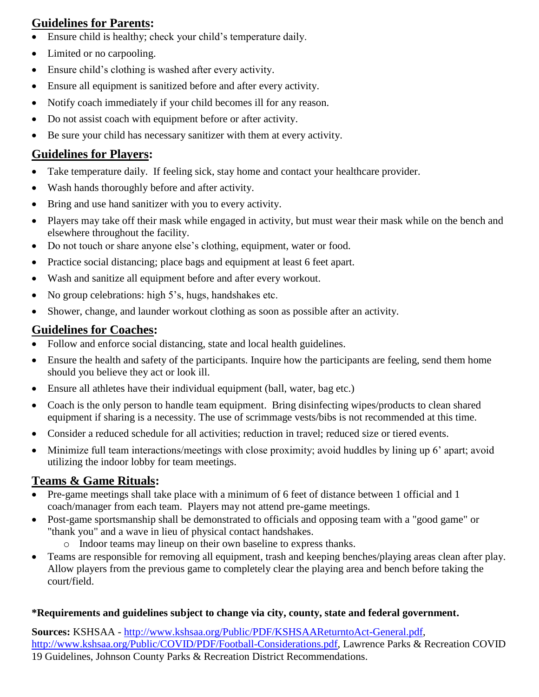## **Guidelines for Parents:**

- Ensure child is healthy; check your child's temperature daily.
- Limited or no carpooling.
- Ensure child's clothing is washed after every activity.
- Ensure all equipment is sanitized before and after every activity.
- Notify coach immediately if your child becomes ill for any reason.
- Do not assist coach with equipment before or after activity.
- Be sure your child has necessary sanitizer with them at every activity.

# **Guidelines for Players:**

- Take temperature daily. If feeling sick, stay home and contact your healthcare provider.
- Wash hands thoroughly before and after activity.
- Bring and use hand sanitizer with you to every activity.
- Players may take off their mask while engaged in activity, but must wear their mask while on the bench and elsewhere throughout the facility.
- Do not touch or share anyone else's clothing, equipment, water or food.
- Practice social distancing; place bags and equipment at least 6 feet apart.
- Wash and sanitize all equipment before and after every workout.
- No group celebrations: high 5's, hugs, handshakes etc.
- Shower, change, and launder workout clothing as soon as possible after an activity.

## **Guidelines for Coaches:**

- Follow and enforce social distancing, state and local health guidelines.
- Ensure the health and safety of the participants. Inquire how the participants are feeling, send them home should you believe they act or look ill.
- Ensure all athletes have their individual equipment (ball, water, bag etc.)
- Coach is the only person to handle team equipment. Bring disinfecting wipes/products to clean shared equipment if sharing is a necessity. The use of scrimmage vests/bibs is not recommended at this time.
- Consider a reduced schedule for all activities; reduction in travel; reduced size or tiered events.
- Minimize full team interactions/meetings with close proximity; avoid huddles by lining up 6' apart; avoid utilizing the indoor lobby for team meetings.

# **Teams & Game Rituals:**

- Pre-game meetings shall take place with a minimum of 6 feet of distance between 1 official and 1 coach/manager from each team. Players may not attend pre-game meetings.
- Post-game sportsmanship shall be demonstrated to officials and opposing team with a "good game" or "thank you" and a wave in lieu of physical contact handshakes.
	- o Indoor teams may lineup on their own baseline to express thanks.
- Teams are responsible for removing all equipment, trash and keeping benches/playing areas clean after play. Allow players from the previous game to completely clear the playing area and bench before taking the court/field.

### **\*Requirements and guidelines subject to change via city, county, state and federal government.**

**Sources:** KSHSAA - [http://www.kshsaa.org/Public/PDF/KSHSAAReturntoAct-General.pdf,](http://www.kshsaa.org/Public/PDF/KSHSAAReturntoAct-General.pdf) [http://www.kshsaa.org/Public/COVID/PDF/Football-Considerations.pdf,](http://www.kshsaa.org/Public/COVID/PDF/Football-Considerations.pdf) Lawrence Parks & Recreation COVID 19 Guidelines, Johnson County Parks & Recreation District Recommendations.